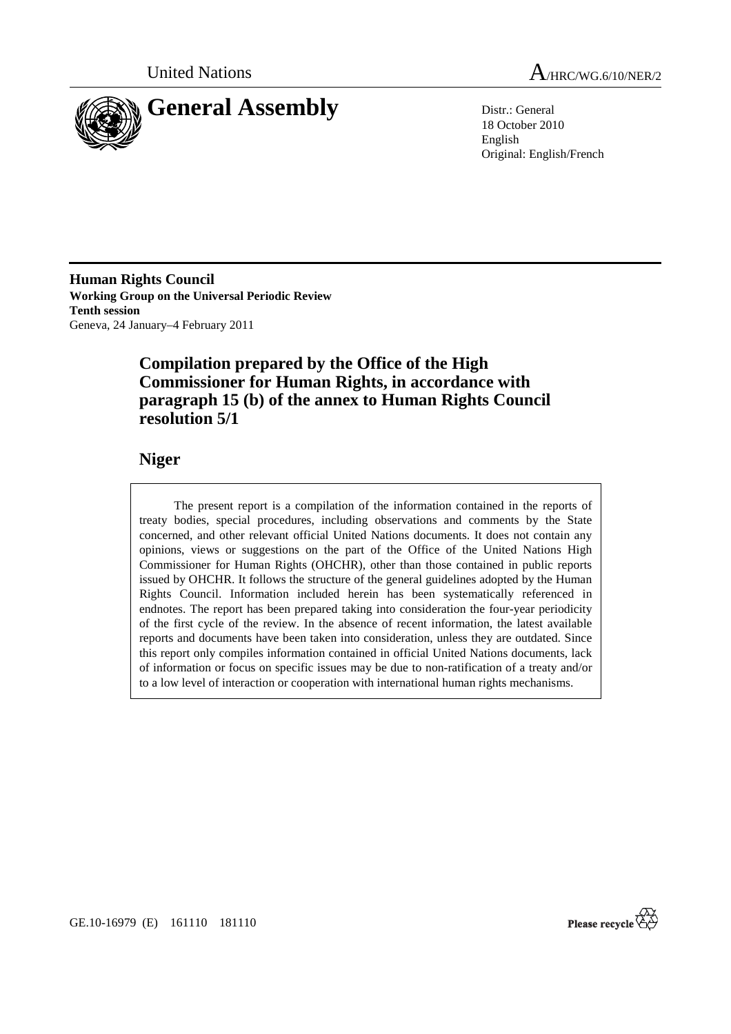



18 October 2010 English Original: English/French

**Human Rights Council Working Group on the Universal Periodic Review Tenth session**  Geneva, 24 January–4 February 2011

# **Compilation prepared by the Office of the High Commissioner for Human Rights, in accordance with paragraph 15 (b) of the annex to Human Rights Council resolution 5/1**

# **Niger**

 The present report is a compilation of the information contained in the reports of treaty bodies, special procedures, including observations and comments by the State concerned, and other relevant official United Nations documents. It does not contain any opinions, views or suggestions on the part of the Office of the United Nations High Commissioner for Human Rights (OHCHR), other than those contained in public reports issued by OHCHR. It follows the structure of the general guidelines adopted by the Human Rights Council. Information included herein has been systematically referenced in endnotes. The report has been prepared taking into consideration the four-year periodicity of the first cycle of the review. In the absence of recent information, the latest available reports and documents have been taken into consideration, unless they are outdated. Since this report only compiles information contained in official United Nations documents, lack of information or focus on specific issues may be due to non-ratification of a treaty and/or to a low level of interaction or cooperation with international human rights mechanisms.

Please recycle  $\overleftrightarrow{C}$ 

GE.10-16979 (E) 161110 181110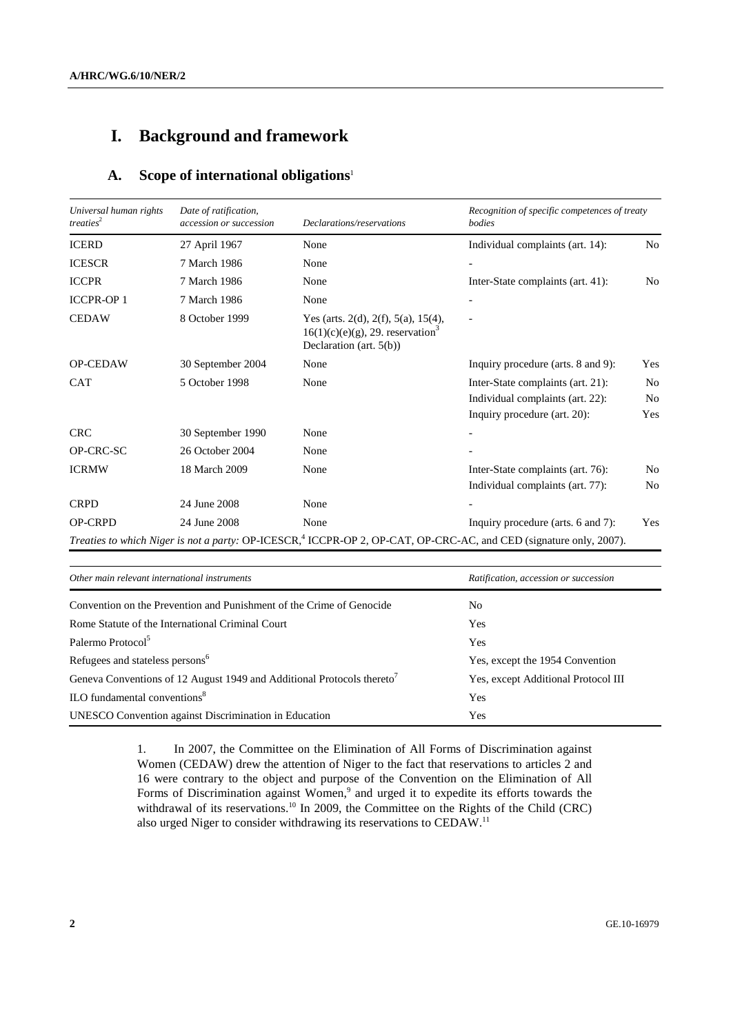# **I. Background and framework**

### **A. Scope of international obligations**<sup>1</sup>

| Universal human rights<br>treaties <sup>2</sup> | Date of ratification,<br>accession or succession | Declarations/reservations                                                                                            | Recognition of specific competences of treaty<br>bodies                                                                        |                |
|-------------------------------------------------|--------------------------------------------------|----------------------------------------------------------------------------------------------------------------------|--------------------------------------------------------------------------------------------------------------------------------|----------------|
| <b>ICERD</b>                                    | 27 April 1967                                    | None                                                                                                                 | Individual complaints (art. 14):                                                                                               | No.            |
| <b>ICESCR</b>                                   | 7 March 1986                                     | None                                                                                                                 |                                                                                                                                |                |
| <b>ICCPR</b>                                    | 7 March 1986                                     | None                                                                                                                 | Inter-State complaints (art. 41):                                                                                              | No             |
| <b>ICCPR-OP1</b>                                | 7 March 1986                                     | None                                                                                                                 |                                                                                                                                |                |
| <b>CEDAW</b>                                    | 8 October 1999                                   | Yes (arts. 2(d), 2(f), 5(a), 15(4),<br>$16(1)(c)(e)(g)$ , 29. reservation <sup>3</sup><br>Declaration (art. $5(b)$ ) |                                                                                                                                |                |
| <b>OP-CEDAW</b>                                 | 30 September 2004                                | None                                                                                                                 | Inquiry procedure (arts. 8 and 9):                                                                                             | Yes            |
| <b>CAT</b>                                      | 5 October 1998                                   | None                                                                                                                 | Inter-State complaints (art. 21):                                                                                              | N <sub>0</sub> |
|                                                 |                                                  |                                                                                                                      | Individual complaints (art. 22):                                                                                               | N <sub>0</sub> |
|                                                 |                                                  |                                                                                                                      | Inquiry procedure (art. 20):                                                                                                   | Yes            |
| <b>CRC</b>                                      | 30 September 1990                                | None                                                                                                                 |                                                                                                                                |                |
| OP-CRC-SC                                       | 26 October 2004                                  | None                                                                                                                 |                                                                                                                                |                |
| <b>ICRMW</b>                                    | 18 March 2009                                    | None                                                                                                                 | Inter-State complaints (art. 76):                                                                                              | N <sub>0</sub> |
|                                                 |                                                  |                                                                                                                      | Individual complaints (art. 77):                                                                                               | N <sub>0</sub> |
| <b>CRPD</b>                                     | 24 June 2008                                     | None                                                                                                                 |                                                                                                                                |                |
| <b>OP-CRPD</b>                                  | 24 June 2008                                     | None                                                                                                                 | Inquiry procedure (arts. 6 and 7):                                                                                             | Yes            |
|                                                 |                                                  |                                                                                                                      | Treaties to which Niger is not a party: OP-ICESCR, <sup>4</sup> ICCPR-OP 2, OP-CAT, OP-CRC-AC, and CED (signature only, 2007). |                |

| Other main relevant international instruments                                      | Ratification, accession or succession |
|------------------------------------------------------------------------------------|---------------------------------------|
| Convention on the Prevention and Punishment of the Crime of Genocide               | No.                                   |
| Rome Statute of the International Criminal Court                                   | Yes.                                  |
| Palermo Protocol <sup>5</sup>                                                      | Yes                                   |
| Refugees and stateless persons <sup>6</sup>                                        | Yes, except the 1954 Convention       |
| Geneva Conventions of 12 August 1949 and Additional Protocols thereto <sup>7</sup> | Yes, except Additional Protocol III   |
| $\rm ILO$ fundamental conventions <sup>8</sup>                                     | Yes                                   |
| UNESCO Convention against Discrimination in Education                              | Yes                                   |

1. In 2007, the Committee on the Elimination of All Forms of Discrimination against Women (CEDAW) drew the attention of Niger to the fact that reservations to articles 2 and 16 were contrary to the object and purpose of the Convention on the Elimination of All Forms of Discrimination against Women,<sup>9</sup> and urged it to expedite its efforts towards the withdrawal of its reservations.<sup>10</sup> In 2009, the Committee on the Rights of the Child (CRC) also urged Niger to consider withdrawing its reservations to CEDAW.11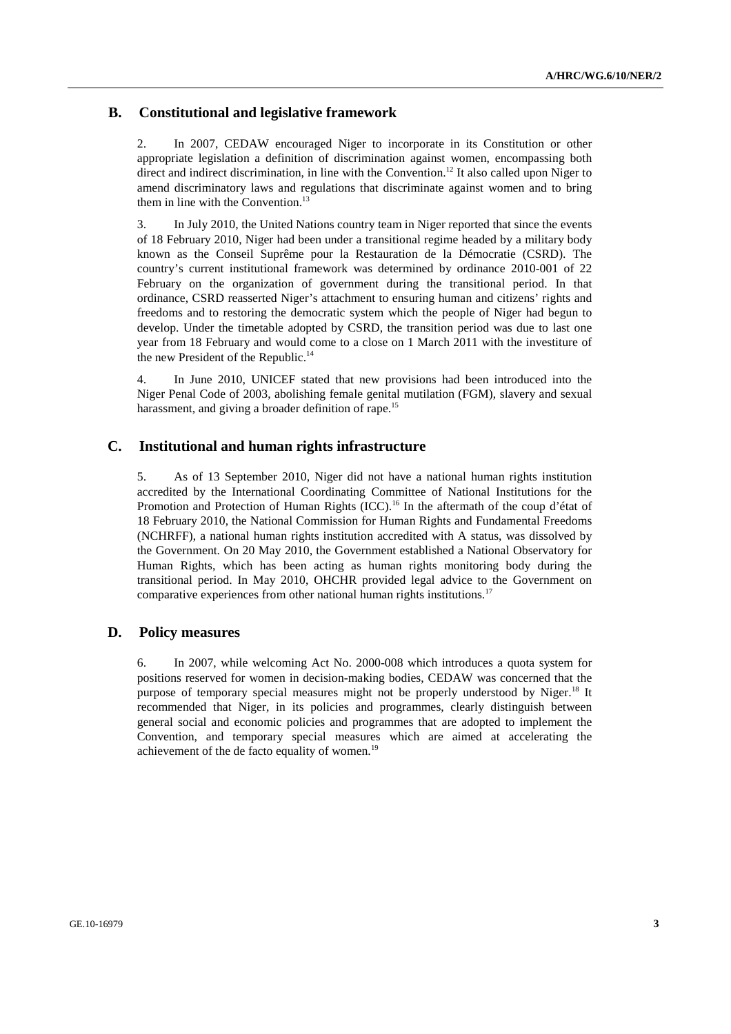### **B. Constitutional and legislative framework**

2. In 2007, CEDAW encouraged Niger to incorporate in its Constitution or other appropriate legislation a definition of discrimination against women, encompassing both direct and indirect discrimination, in line with the Convention.<sup>12</sup> It also called upon Niger to amend discriminatory laws and regulations that discriminate against women and to bring them in line with the Convention. $^{13}$ 

3. In July 2010, the United Nations country team in Niger reported that since the events of 18 February 2010, Niger had been under a transitional regime headed by a military body known as the Conseil Suprême pour la Restauration de la Démocratie (CSRD). The country's current institutional framework was determined by ordinance 2010-001 of 22 February on the organization of government during the transitional period. In that ordinance, CSRD reasserted Niger's attachment to ensuring human and citizens' rights and freedoms and to restoring the democratic system which the people of Niger had begun to develop. Under the timetable adopted by CSRD, the transition period was due to last one year from 18 February and would come to a close on 1 March 2011 with the investiture of the new President of the Republic.<sup>14</sup>

4. In June 2010, UNICEF stated that new provisions had been introduced into the Niger Penal Code of 2003, abolishing female genital mutilation (FGM), slavery and sexual harassment, and giving a broader definition of rape.<sup>15</sup>

### **C. Institutional and human rights infrastructure**

5. As of 13 September 2010, Niger did not have a national human rights institution accredited by the International Coordinating Committee of National Institutions for the Promotion and Protection of Human Rights (ICC).<sup>16</sup> In the aftermath of the coup d'état of 18 February 2010, the National Commission for Human Rights and Fundamental Freedoms (NCHRFF), a national human rights institution accredited with A status, was dissolved by the Government. On 20 May 2010, the Government established a National Observatory for Human Rights, which has been acting as human rights monitoring body during the transitional period. In May 2010, OHCHR provided legal advice to the Government on comparative experiences from other national human rights institutions.17

### **D. Policy measures**

6. In 2007, while welcoming Act No. 2000-008 which introduces a quota system for positions reserved for women in decision-making bodies, CEDAW was concerned that the purpose of temporary special measures might not be properly understood by Niger.<sup>18</sup> It recommended that Niger, in its policies and programmes, clearly distinguish between general social and economic policies and programmes that are adopted to implement the Convention, and temporary special measures which are aimed at accelerating the achievement of the de facto equality of women.<sup>19</sup>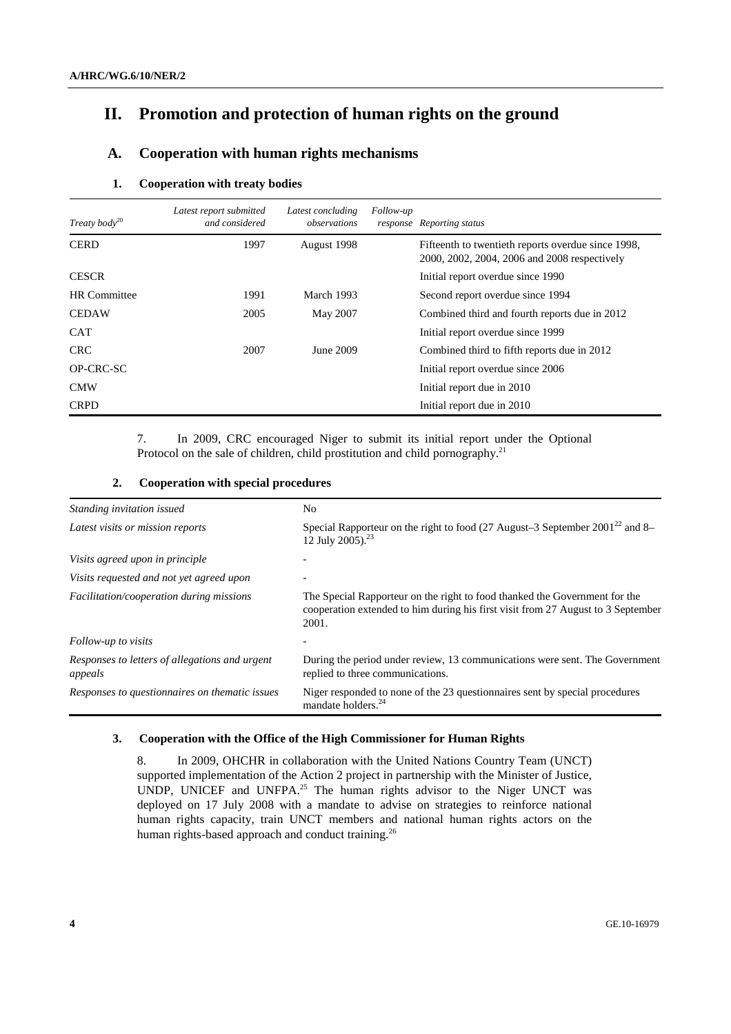# **II. Promotion and protection of human rights on the ground**

## **A. Cooperation with human rights mechanisms**

#### **1. Cooperation with treaty bodies**

| Treaty body <sup>20</sup> | Latest report submitted<br>and considered | Latest concluding<br>observations | Follow-up | response Reporting status                                                                          |
|---------------------------|-------------------------------------------|-----------------------------------|-----------|----------------------------------------------------------------------------------------------------|
| <b>CERD</b>               | 1997                                      | August 1998                       |           | Fifteenth to twentieth reports overdue since 1998,<br>2000, 2002, 2004, 2006 and 2008 respectively |
| <b>CESCR</b>              |                                           |                                   |           | Initial report overdue since 1990                                                                  |
| <b>HR</b> Committee       | 1991                                      | March 1993                        |           | Second report overdue since 1994                                                                   |
| <b>CEDAW</b>              | 2005                                      | May 2007                          |           | Combined third and fourth reports due in 2012                                                      |
| <b>CAT</b>                |                                           |                                   |           | Initial report overdue since 1999                                                                  |
| <b>CRC</b>                | 2007                                      | June 2009                         |           | Combined third to fifth reports due in 2012                                                        |
| OP-CRC-SC                 |                                           |                                   |           | Initial report overdue since 2006                                                                  |
| <b>CMW</b>                |                                           |                                   |           | Initial report due in 2010                                                                         |
| <b>CRPD</b>               |                                           |                                   |           | Initial report due in 2010                                                                         |

7. In 2009, CRC encouraged Niger to submit its initial report under the Optional Protocol on the sale of children, child prostitution and child pornography.<sup>21</sup>

| Standing invitation issued                                | No                                                                                                                                                                      |  |  |
|-----------------------------------------------------------|-------------------------------------------------------------------------------------------------------------------------------------------------------------------------|--|--|
| Latest visits or mission reports                          | Special Rapporteur on the right to food (27 August-3 September 2001 <sup>22</sup> and 8-<br>12 July 2005). <sup>23</sup>                                                |  |  |
| Visits agreed upon in principle                           |                                                                                                                                                                         |  |  |
| Visits requested and not yet agreed upon                  |                                                                                                                                                                         |  |  |
| Facilitation/cooperation during missions                  | The Special Rapporteur on the right to food thanked the Government for the<br>cooperation extended to him during his first visit from 27 August to 3 September<br>2001. |  |  |
| Follow-up to visits                                       |                                                                                                                                                                         |  |  |
| Responses to letters of allegations and urgent<br>appeals | During the period under review, 13 communications were sent. The Government<br>replied to three communications.                                                         |  |  |
| Responses to questionnaires on thematic issues            | Niger responded to none of the 23 questionnaires sent by special procedures<br>mandate holders. <sup>24</sup>                                                           |  |  |

### **2. Cooperation with special procedures**

### **3. Cooperation with the Office of the High Commissioner for Human Rights**

8. In 2009, OHCHR in collaboration with the United Nations Country Team (UNCT) supported implementation of the Action 2 project in partnership with the Minister of Justice, UNDP, UNICEF and UNFPA.<sup>25</sup> The human rights advisor to the Niger UNCT was deployed on 17 July 2008 with a mandate to advise on strategies to reinforce national human rights capacity, train UNCT members and national human rights actors on the human rights-based approach and conduct training.<sup>26</sup>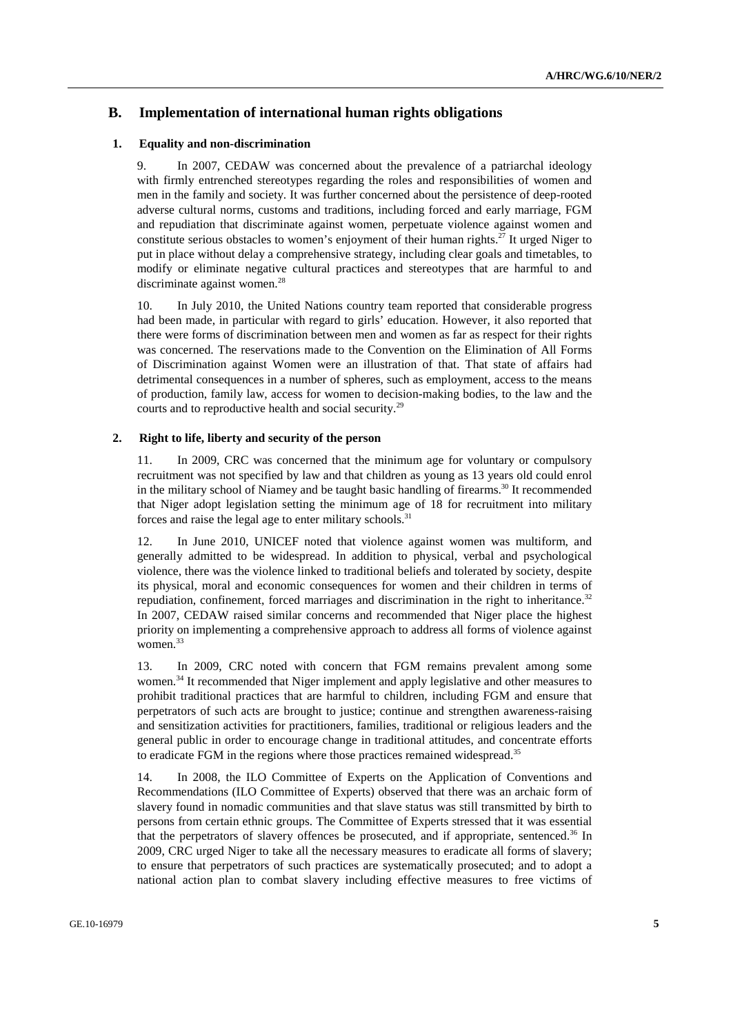### **B. Implementation of international human rights obligations**

#### **1. Equality and non-discrimination**

9. In 2007, CEDAW was concerned about the prevalence of a patriarchal ideology with firmly entrenched stereotypes regarding the roles and responsibilities of women and men in the family and society. It was further concerned about the persistence of deep-rooted adverse cultural norms, customs and traditions, including forced and early marriage, FGM and repudiation that discriminate against women, perpetuate violence against women and constitute serious obstacles to women's enjoyment of their human rights.<sup>27</sup> It urged Niger to put in place without delay a comprehensive strategy, including clear goals and timetables, to modify or eliminate negative cultural practices and stereotypes that are harmful to and discriminate against women.<sup>28</sup>

10. In July 2010, the United Nations country team reported that considerable progress had been made, in particular with regard to girls' education. However, it also reported that there were forms of discrimination between men and women as far as respect for their rights was concerned. The reservations made to the Convention on the Elimination of All Forms of Discrimination against Women were an illustration of that. That state of affairs had detrimental consequences in a number of spheres, such as employment, access to the means of production, family law, access for women to decision-making bodies, to the law and the courts and to reproductive health and social security.29

#### **2. Right to life, liberty and security of the person**

11. In 2009, CRC was concerned that the minimum age for voluntary or compulsory recruitment was not specified by law and that children as young as 13 years old could enrol in the military school of Niamey and be taught basic handling of firearms.<sup>30</sup> It recommended that Niger adopt legislation setting the minimum age of 18 for recruitment into military forces and raise the legal age to enter military schools.<sup>31</sup>

In June 2010, UNICEF noted that violence against women was multiform, and generally admitted to be widespread. In addition to physical, verbal and psychological violence, there was the violence linked to traditional beliefs and tolerated by society, despite its physical, moral and economic consequences for women and their children in terms of repudiation, confinement, forced marriages and discrimination in the right to inheritance.<sup>32</sup> In 2007, CEDAW raised similar concerns and recommended that Niger place the highest priority on implementing a comprehensive approach to address all forms of violence against women.<sup>33</sup>

13. In 2009, CRC noted with concern that FGM remains prevalent among some women.<sup>34</sup> It recommended that Niger implement and apply legislative and other measures to prohibit traditional practices that are harmful to children, including FGM and ensure that perpetrators of such acts are brought to justice; continue and strengthen awareness-raising and sensitization activities for practitioners, families, traditional or religious leaders and the general public in order to encourage change in traditional attitudes, and concentrate efforts to eradicate FGM in the regions where those practices remained widespread.<sup>35</sup>

14. In 2008, the ILO Committee of Experts on the Application of Conventions and Recommendations (ILO Committee of Experts) observed that there was an archaic form of slavery found in nomadic communities and that slave status was still transmitted by birth to persons from certain ethnic groups. The Committee of Experts stressed that it was essential that the perpetrators of slavery offences be prosecuted, and if appropriate, sentenced.<sup>36</sup> In 2009, CRC urged Niger to take all the necessary measures to eradicate all forms of slavery; to ensure that perpetrators of such practices are systematically prosecuted; and to adopt a national action plan to combat slavery including effective measures to free victims of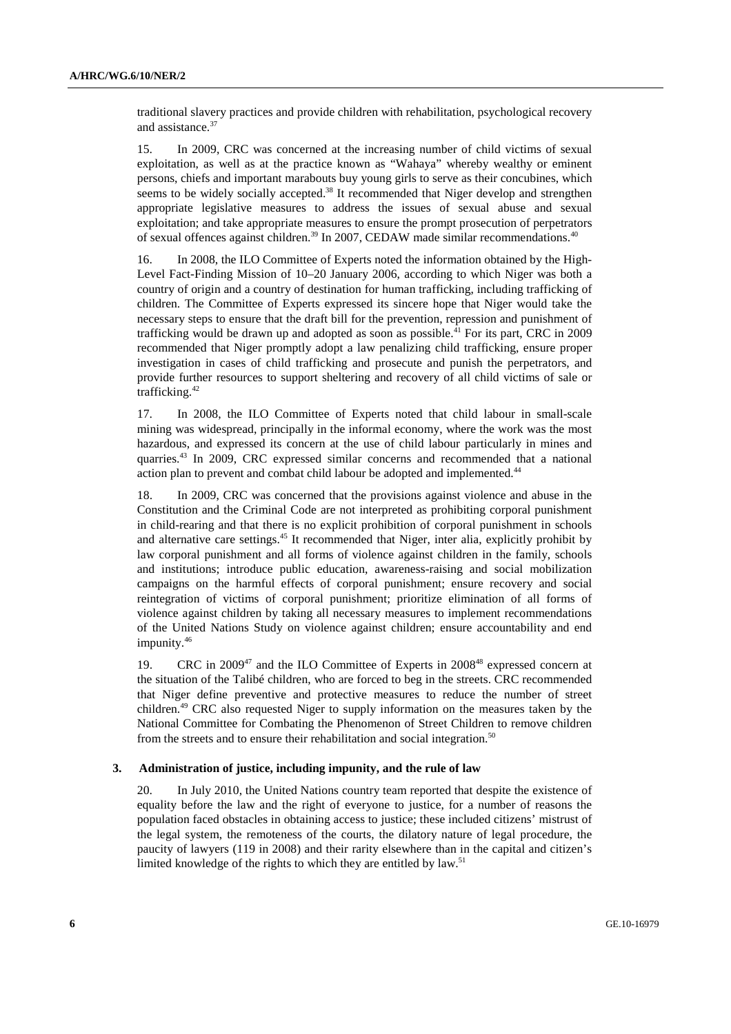traditional slavery practices and provide children with rehabilitation, psychological recovery and assistance.<sup>37</sup>

15. In 2009, CRC was concerned at the increasing number of child victims of sexual exploitation, as well as at the practice known as "Wahaya" whereby wealthy or eminent persons, chiefs and important marabouts buy young girls to serve as their concubines, which seems to be widely socially accepted.<sup>38</sup> It recommended that Niger develop and strengthen appropriate legislative measures to address the issues of sexual abuse and sexual exploitation; and take appropriate measures to ensure the prompt prosecution of perpetrators of sexual offences against children.<sup>39</sup> In 2007, CEDAW made similar recommendations.<sup>40</sup>

16. In 2008, the ILO Committee of Experts noted the information obtained by the High-Level Fact-Finding Mission of 10–20 January 2006, according to which Niger was both a country of origin and a country of destination for human trafficking, including trafficking of children. The Committee of Experts expressed its sincere hope that Niger would take the necessary steps to ensure that the draft bill for the prevention, repression and punishment of trafficking would be drawn up and adopted as soon as possible.<sup>41</sup> For its part, CRC in 2009 recommended that Niger promptly adopt a law penalizing child trafficking, ensure proper investigation in cases of child trafficking and prosecute and punish the perpetrators, and provide further resources to support sheltering and recovery of all child victims of sale or trafficking.42

17. In 2008, the ILO Committee of Experts noted that child labour in small-scale mining was widespread, principally in the informal economy, where the work was the most hazardous, and expressed its concern at the use of child labour particularly in mines and quarries.43 In 2009, CRC expressed similar concerns and recommended that a national action plan to prevent and combat child labour be adopted and implemented.<sup>44</sup>

18. In 2009, CRC was concerned that the provisions against violence and abuse in the Constitution and the Criminal Code are not interpreted as prohibiting corporal punishment in child-rearing and that there is no explicit prohibition of corporal punishment in schools and alternative care settings.45 It recommended that Niger, inter alia, explicitly prohibit by law corporal punishment and all forms of violence against children in the family, schools and institutions; introduce public education, awareness-raising and social mobilization campaigns on the harmful effects of corporal punishment; ensure recovery and social reintegration of victims of corporal punishment; prioritize elimination of all forms of violence against children by taking all necessary measures to implement recommendations of the United Nations Study on violence against children; ensure accountability and end impunity.<sup>46</sup>

19. CRC in 2009<sup>47</sup> and the ILO Committee of Experts in 2008<sup>48</sup> expressed concern at the situation of the Talibé children, who are forced to beg in the streets. CRC recommended that Niger define preventive and protective measures to reduce the number of street children.49 CRC also requested Niger to supply information on the measures taken by the National Committee for Combating the Phenomenon of Street Children to remove children from the streets and to ensure their rehabilitation and social integration.<sup>50</sup>

#### **3. Administration of justice, including impunity, and the rule of law**

20. In July 2010, the United Nations country team reported that despite the existence of equality before the law and the right of everyone to justice, for a number of reasons the population faced obstacles in obtaining access to justice; these included citizens' mistrust of the legal system, the remoteness of the courts, the dilatory nature of legal procedure, the paucity of lawyers (119 in 2008) and their rarity elsewhere than in the capital and citizen's limited knowledge of the rights to which they are entitled by law.<sup>51</sup>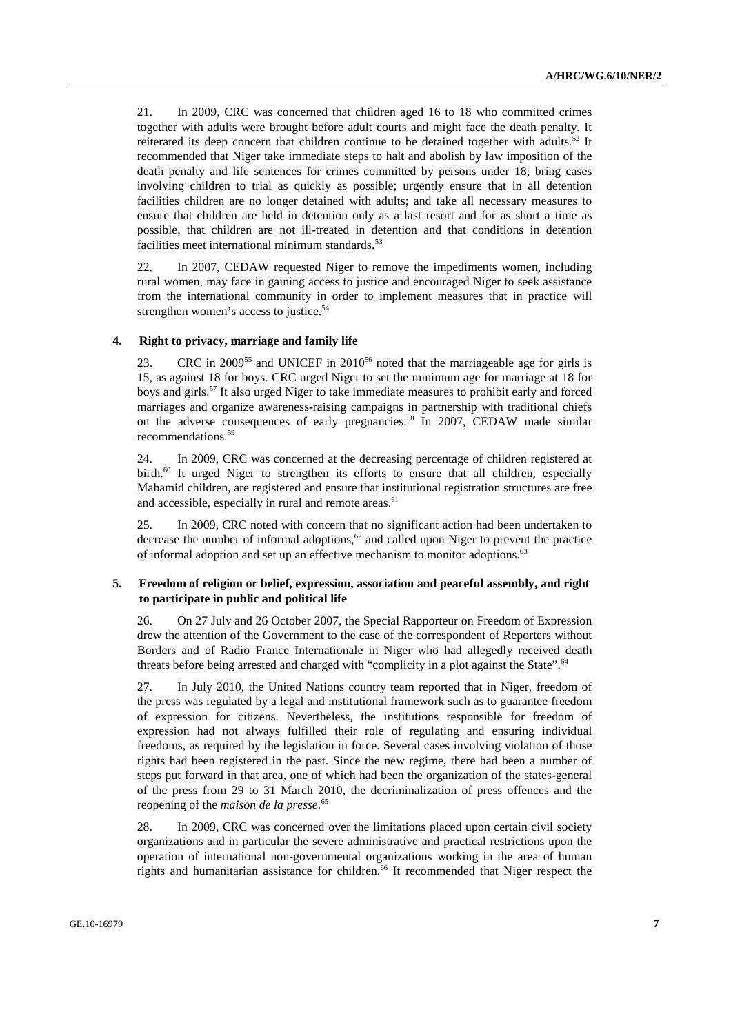21. In 2009, CRC was concerned that children aged 16 to 18 who committed crimes together with adults were brought before adult courts and might face the death penalty. It reiterated its deep concern that children continue to be detained together with adults.<sup>52</sup> It recommended that Niger take immediate steps to halt and abolish by law imposition of the death penalty and life sentences for crimes committed by persons under 18; bring cases involving children to trial as quickly as possible; urgently ensure that in all detention facilities children are no longer detained with adults; and take all necessary measures to ensure that children are held in detention only as a last resort and for as short a time as possible, that children are not ill-treated in detention and that conditions in detention facilities meet international minimum standards. $53$ 

22. In 2007, CEDAW requested Niger to remove the impediments women, including rural women, may face in gaining access to justice and encouraged Niger to seek assistance from the international community in order to implement measures that in practice will strengthen women's access to justice.<sup>54</sup>

#### **4. Right to privacy, marriage and family life**

23. CRC in 2009<sup>55</sup> and UNICEF in 2010<sup>56</sup> noted that the marriageable age for girls is 15, as against 18 for boys. CRC urged Niger to set the minimum age for marriage at 18 for boys and girls.57 It also urged Niger to take immediate measures to prohibit early and forced marriages and organize awareness-raising campaigns in partnership with traditional chiefs on the adverse consequences of early pregnancies.<sup>58</sup> In 2007, CEDAW made similar recommendations.59

24. In 2009, CRC was concerned at the decreasing percentage of children registered at birth.<sup>60</sup> It urged Niger to strengthen its efforts to ensure that all children, especially Mahamid children, are registered and ensure that institutional registration structures are free and accessible, especially in rural and remote areas.<sup>61</sup>

25. In 2009, CRC noted with concern that no significant action had been undertaken to decrease the number of informal adoptions, $62$  and called upon Niger to prevent the practice of informal adoption and set up an effective mechanism to monitor adoptions.<sup>63</sup>

#### **5. Freedom of religion or belief, expression, association and peaceful assembly, and right to participate in public and political life**

26. On 27 July and 26 October 2007, the Special Rapporteur on Freedom of Expression drew the attention of the Government to the case of the correspondent of Reporters without Borders and of Radio France Internationale in Niger who had allegedly received death threats before being arrested and charged with "complicity in a plot against the State".<sup>64</sup>

27. In July 2010, the United Nations country team reported that in Niger, freedom of the press was regulated by a legal and institutional framework such as to guarantee freedom of expression for citizens. Nevertheless, the institutions responsible for freedom of expression had not always fulfilled their role of regulating and ensuring individual freedoms, as required by the legislation in force. Several cases involving violation of those rights had been registered in the past. Since the new regime, there had been a number of steps put forward in that area, one of which had been the organization of the states-general of the press from 29 to 31 March 2010, the decriminalization of press offences and the reopening of the *maison de la presse*. 65

28. In 2009, CRC was concerned over the limitations placed upon certain civil society organizations and in particular the severe administrative and practical restrictions upon the operation of international non-governmental organizations working in the area of human rights and humanitarian assistance for children.<sup>66</sup> It recommended that Niger respect the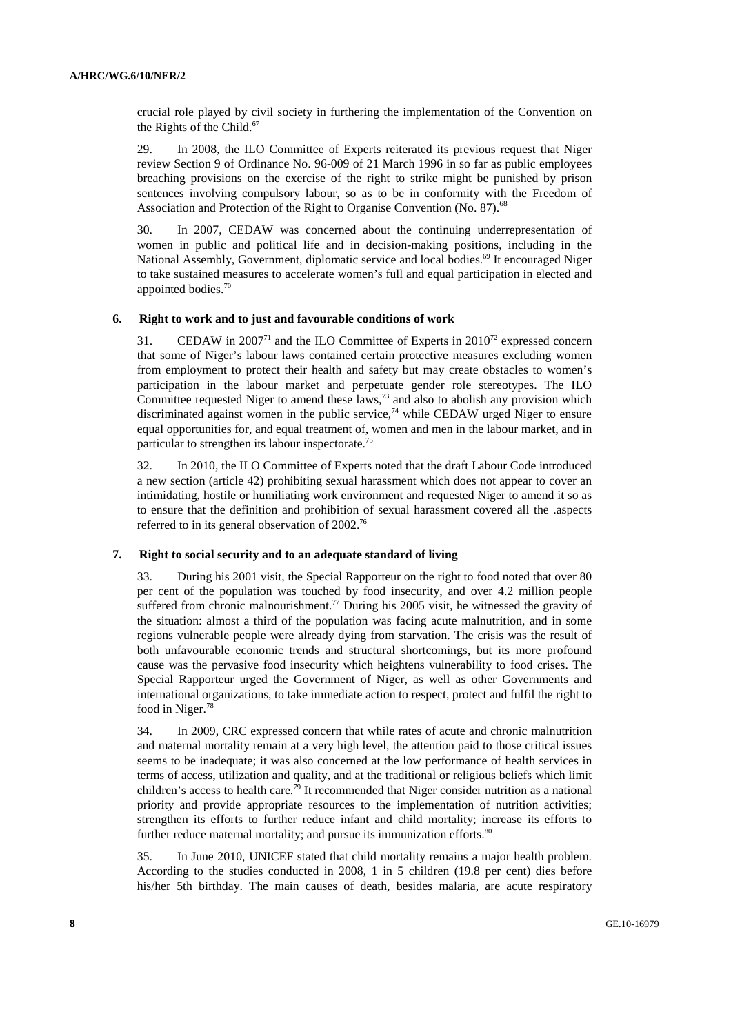crucial role played by civil society in furthering the implementation of the Convention on the Rights of the Child. $67$ 

29. In 2008, the ILO Committee of Experts reiterated its previous request that Niger review Section 9 of Ordinance No. 96-009 of 21 March 1996 in so far as public employees breaching provisions on the exercise of the right to strike might be punished by prison sentences involving compulsory labour, so as to be in conformity with the Freedom of Association and Protection of the Right to Organise Convention (No. 87).<sup>68</sup>

30. In 2007, CEDAW was concerned about the continuing underrepresentation of women in public and political life and in decision-making positions, including in the National Assembly, Government, diplomatic service and local bodies.<sup>69</sup> It encouraged Niger to take sustained measures to accelerate women's full and equal participation in elected and appointed bodies.70

#### **6. Right to work and to just and favourable conditions of work**

31. CEDAW in 2007<sup>71</sup> and the ILO Committee of Experts in  $2010^{72}$  expressed concern that some of Niger's labour laws contained certain protective measures excluding women from employment to protect their health and safety but may create obstacles to women's participation in the labour market and perpetuate gender role stereotypes. The ILO Committee requested Niger to amend these laws,<sup>73</sup> and also to abolish any provision which discriminated against women in the public service,<sup>74</sup> while CEDAW urged Niger to ensure equal opportunities for, and equal treatment of, women and men in the labour market, and in particular to strengthen its labour inspectorate.75

32. In 2010, the ILO Committee of Experts noted that the draft Labour Code introduced a new section (article 42) prohibiting sexual harassment which does not appear to cover an intimidating, hostile or humiliating work environment and requested Niger to amend it so as to ensure that the definition and prohibition of sexual harassment covered all the .aspects referred to in its general observation of 2002.<sup>76</sup>

#### **7. Right to social security and to an adequate standard of living**

33. During his 2001 visit, the Special Rapporteur on the right to food noted that over 80 per cent of the population was touched by food insecurity, and over 4.2 million people suffered from chronic malnourishment.<sup>77</sup> During his 2005 visit, he witnessed the gravity of the situation: almost a third of the population was facing acute malnutrition, and in some regions vulnerable people were already dying from starvation. The crisis was the result of both unfavourable economic trends and structural shortcomings, but its more profound cause was the pervasive food insecurity which heightens vulnerability to food crises. The Special Rapporteur urged the Government of Niger, as well as other Governments and international organizations, to take immediate action to respect, protect and fulfil the right to food in Niger.<sup>78</sup>

34. In 2009, CRC expressed concern that while rates of acute and chronic malnutrition and maternal mortality remain at a very high level, the attention paid to those critical issues seems to be inadequate; it was also concerned at the low performance of health services in terms of access, utilization and quality, and at the traditional or religious beliefs which limit children's access to health care.79 It recommended that Niger consider nutrition as a national priority and provide appropriate resources to the implementation of nutrition activities; strengthen its efforts to further reduce infant and child mortality; increase its efforts to further reduce maternal mortality; and pursue its immunization efforts.<sup>80</sup>

35. In June 2010, UNICEF stated that child mortality remains a major health problem. According to the studies conducted in 2008, 1 in 5 children (19.8 per cent) dies before his/her 5th birthday. The main causes of death, besides malaria, are acute respiratory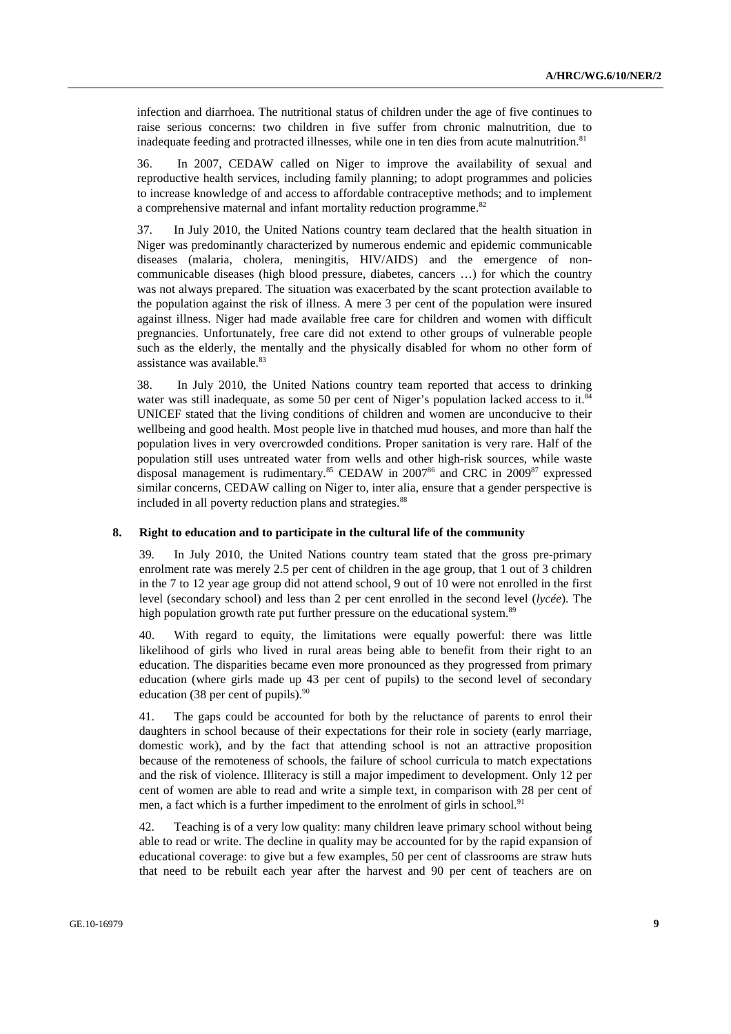infection and diarrhoea. The nutritional status of children under the age of five continues to raise serious concerns: two children in five suffer from chronic malnutrition, due to inadequate feeding and protracted illnesses, while one in ten dies from acute malnutrition.<sup>81</sup>

36. In 2007, CEDAW called on Niger to improve the availability of sexual and reproductive health services, including family planning; to adopt programmes and policies to increase knowledge of and access to affordable contraceptive methods; and to implement a comprehensive maternal and infant mortality reduction programme.<sup>82</sup>

37. In July 2010, the United Nations country team declared that the health situation in Niger was predominantly characterized by numerous endemic and epidemic communicable diseases (malaria, cholera, meningitis, HIV/AIDS) and the emergence of noncommunicable diseases (high blood pressure, diabetes, cancers …) for which the country was not always prepared. The situation was exacerbated by the scant protection available to the population against the risk of illness. A mere 3 per cent of the population were insured against illness. Niger had made available free care for children and women with difficult pregnancies. Unfortunately, free care did not extend to other groups of vulnerable people such as the elderly, the mentally and the physically disabled for whom no other form of assistance was available. $83$ 

38. In July 2010, the United Nations country team reported that access to drinking water was still inadequate, as some 50 per cent of Niger's population lacked access to it.<sup>84</sup> UNICEF stated that the living conditions of children and women are unconducive to their wellbeing and good health. Most people live in thatched mud houses, and more than half the population lives in very overcrowded conditions. Proper sanitation is very rare. Half of the population still uses untreated water from wells and other high-risk sources, while waste disposal management is rudimentary.<sup>85</sup> CEDAW in 2007<sup>86</sup> and CRC in 2009<sup>87</sup> expressed similar concerns, CEDAW calling on Niger to, inter alia, ensure that a gender perspective is included in all poverty reduction plans and strategies.<sup>88</sup>

#### **8. Right to education and to participate in the cultural life of the community**

39. In July 2010, the United Nations country team stated that the gross pre-primary enrolment rate was merely 2.5 per cent of children in the age group, that 1 out of 3 children in the 7 to 12 year age group did not attend school, 9 out of 10 were not enrolled in the first level (secondary school) and less than 2 per cent enrolled in the second level (*lycée*). The high population growth rate put further pressure on the educational system.<sup>89</sup>

40. With regard to equity, the limitations were equally powerful: there was little likelihood of girls who lived in rural areas being able to benefit from their right to an education. The disparities became even more pronounced as they progressed from primary education (where girls made up 43 per cent of pupils) to the second level of secondary education (38 per cent of pupils). $90$ 

41. The gaps could be accounted for both by the reluctance of parents to enrol their daughters in school because of their expectations for their role in society (early marriage, domestic work), and by the fact that attending school is not an attractive proposition because of the remoteness of schools, the failure of school curricula to match expectations and the risk of violence. Illiteracy is still a major impediment to development. Only 12 per cent of women are able to read and write a simple text, in comparison with 28 per cent of men, a fact which is a further impediment to the enrolment of girls in school.<sup>91</sup>

42. Teaching is of a very low quality: many children leave primary school without being able to read or write. The decline in quality may be accounted for by the rapid expansion of educational coverage: to give but a few examples, 50 per cent of classrooms are straw huts that need to be rebuilt each year after the harvest and 90 per cent of teachers are on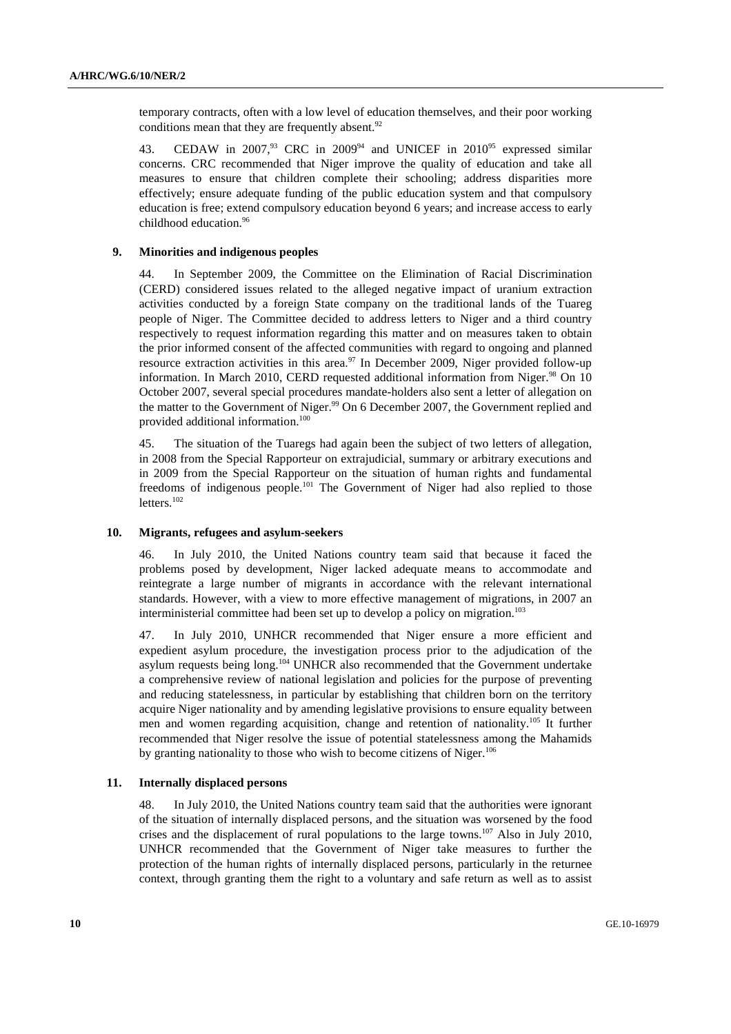temporary contracts, often with a low level of education themselves, and their poor working conditions mean that they are frequently absent. $92$ 

43. CEDAW in 2007,<sup>93</sup> CRC in 2009<sup>94</sup> and UNICEF in 2010<sup>95</sup> expressed similar concerns. CRC recommended that Niger improve the quality of education and take all measures to ensure that children complete their schooling; address disparities more effectively; ensure adequate funding of the public education system and that compulsory education is free; extend compulsory education beyond 6 years; and increase access to early childhood education.96

#### **9. Minorities and indigenous peoples**

44. In September 2009, the Committee on the Elimination of Racial Discrimination (CERD) considered issues related to the alleged negative impact of uranium extraction activities conducted by a foreign State company on the traditional lands of the Tuareg people of Niger. The Committee decided to address letters to Niger and a third country respectively to request information regarding this matter and on measures taken to obtain the prior informed consent of the affected communities with regard to ongoing and planned resource extraction activities in this area. $97$  In December 2009, Niger provided follow-up information. In March 2010, CERD requested additional information from Niger. $98$  On 10 October 2007, several special procedures mandate-holders also sent a letter of allegation on the matter to the Government of Niger.<sup>99</sup> On 6 December 2007, the Government replied and provided additional information.100

45. The situation of the Tuaregs had again been the subject of two letters of allegation, in 2008 from the Special Rapporteur on extrajudicial, summary or arbitrary executions and in 2009 from the Special Rapporteur on the situation of human rights and fundamental freedoms of indigenous people.<sup>101</sup> The Government of Niger had also replied to those letters.<sup>102</sup>

#### **10. Migrants, refugees and asylum-seekers**

46. In July 2010, the United Nations country team said that because it faced the problems posed by development, Niger lacked adequate means to accommodate and reintegrate a large number of migrants in accordance with the relevant international standards. However, with a view to more effective management of migrations, in 2007 an interministerial committee had been set up to develop a policy on migration.<sup>103</sup>

47. In July 2010, UNHCR recommended that Niger ensure a more efficient and expedient asylum procedure, the investigation process prior to the adjudication of the asylum requests being long.<sup>104</sup> UNHCR also recommended that the Government undertake a comprehensive review of national legislation and policies for the purpose of preventing and reducing statelessness, in particular by establishing that children born on the territory acquire Niger nationality and by amending legislative provisions to ensure equality between men and women regarding acquisition, change and retention of nationality.105 It further recommended that Niger resolve the issue of potential statelessness among the Mahamids by granting nationality to those who wish to become citizens of Niger.<sup>106</sup>

#### **11. Internally displaced persons**

48. In July 2010, the United Nations country team said that the authorities were ignorant of the situation of internally displaced persons, and the situation was worsened by the food crises and the displacement of rural populations to the large towns.<sup>107</sup> Also in July 2010, UNHCR recommended that the Government of Niger take measures to further the protection of the human rights of internally displaced persons, particularly in the returnee context, through granting them the right to a voluntary and safe return as well as to assist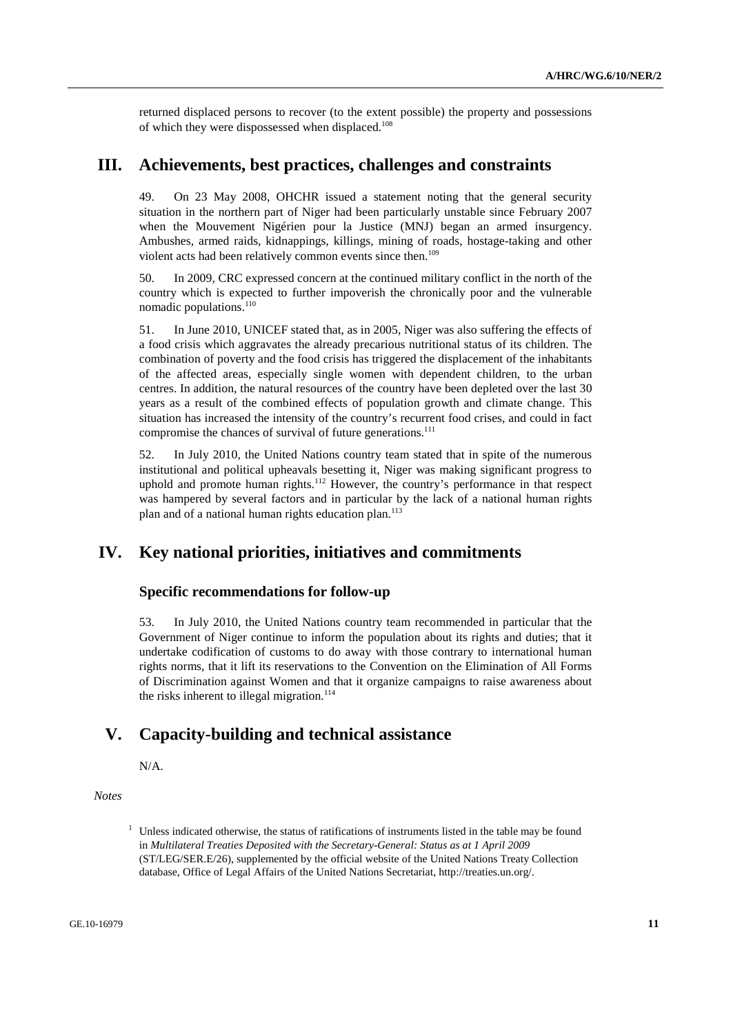returned displaced persons to recover (to the extent possible) the property and possessions of which they were dispossessed when displaced.<sup>108</sup>

### **III. Achievements, best practices, challenges and constraints**

49. On 23 May 2008, OHCHR issued a statement noting that the general security situation in the northern part of Niger had been particularly unstable since February 2007 when the Mouvement Nigérien pour la Justice (MNJ) began an armed insurgency. Ambushes, armed raids, kidnappings, killings, mining of roads, hostage-taking and other violent acts had been relatively common events since then.<sup>109</sup>

50. In 2009, CRC expressed concern at the continued military conflict in the north of the country which is expected to further impoverish the chronically poor and the vulnerable nomadic populations. $110$ 

51. In June 2010, UNICEF stated that, as in 2005, Niger was also suffering the effects of a food crisis which aggravates the already precarious nutritional status of its children. The combination of poverty and the food crisis has triggered the displacement of the inhabitants of the affected areas, especially single women with dependent children, to the urban centres. In addition, the natural resources of the country have been depleted over the last 30 years as a result of the combined effects of population growth and climate change. This situation has increased the intensity of the country's recurrent food crises, and could in fact compromise the chances of survival of future generations.<sup>111</sup>

52. In July 2010, the United Nations country team stated that in spite of the numerous institutional and political upheavals besetting it, Niger was making significant progress to uphold and promote human rights.<sup>112</sup> However, the country's performance in that respect was hampered by several factors and in particular by the lack of a national human rights plan and of a national human rights education plan.<sup>113</sup>

# **IV. Key national priorities, initiatives and commitments**

### **Specific recommendations for follow-up**

53. In July 2010, the United Nations country team recommended in particular that the Government of Niger continue to inform the population about its rights and duties; that it undertake codification of customs to do away with those contrary to international human rights norms, that it lift its reservations to the Convention on the Elimination of All Forms of Discrimination against Women and that it organize campaigns to raise awareness about the risks inherent to illegal migration.<sup>114</sup>

## **V. Capacity-building and technical assistance**

N/A.

 *Notes* 

 $1$  Unless indicated otherwise, the status of ratifications of instruments listed in the table may be found in *Multilateral Treaties Deposited with the Secretary-General: Status as at 1 April 2009* (ST/LEG/SER.E/26), supplemented by the official website of the United Nations Treaty Collection database, Office of Legal Affairs of the United Nations Secretariat, http://treaties.un.org/.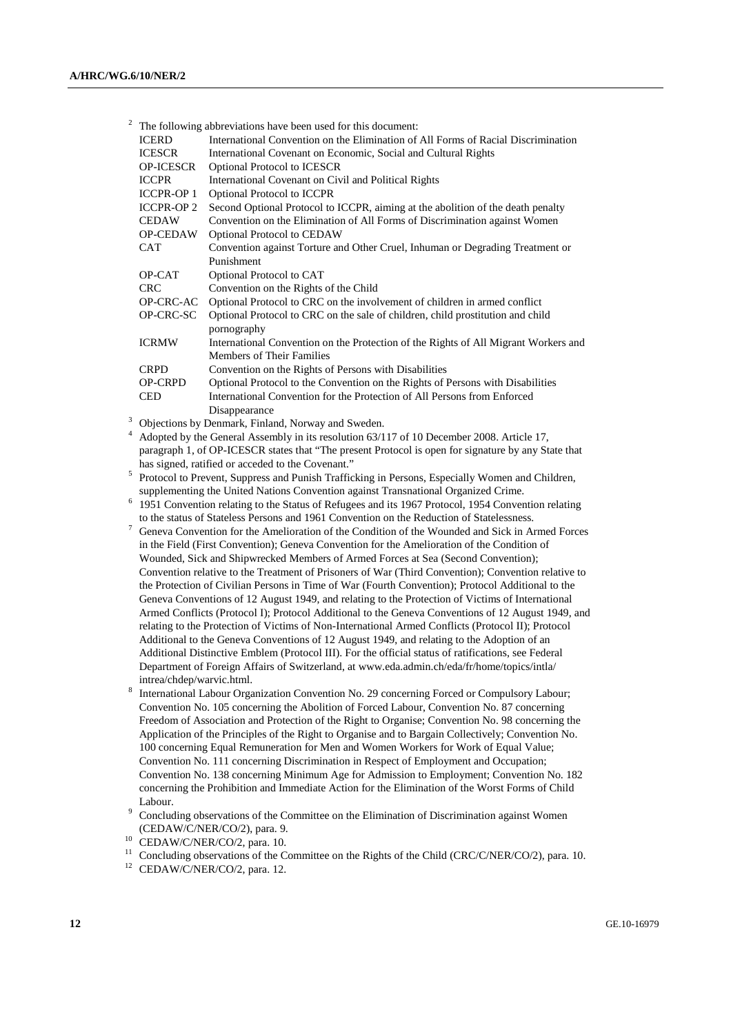| 2 |                           | The following abbreviations have been used for this document:                                       |
|---|---------------------------|-----------------------------------------------------------------------------------------------------|
|   | <b>ICERD</b>              | International Convention on the Elimination of All Forms of Racial Discrimination                   |
|   | <b>ICESCR</b>             | International Covenant on Economic, Social and Cultural Rights                                      |
|   | OP-ICESCR                 | Optional Protocol to ICESCR                                                                         |
|   |                           |                                                                                                     |
|   | <b>ICCPR</b>              | International Covenant on Civil and Political Rights                                                |
|   | ICCPR-OP 1                | Optional Protocol to ICCPR                                                                          |
|   | <b>ICCPR-OP2</b>          | Second Optional Protocol to ICCPR, aiming at the abolition of the death penalty                     |
|   | <b>CEDAW</b>              | Convention on the Elimination of All Forms of Discrimination against Women                          |
|   | OP-CEDAW                  | Optional Protocol to CEDAW                                                                          |
|   | <b>CAT</b>                | Convention against Torture and Other Cruel, Inhuman or Degrading Treatment or                       |
|   |                           | Punishment                                                                                          |
|   | OP-CAT                    | Optional Protocol to CAT                                                                            |
|   | <b>CRC</b>                | Convention on the Rights of the Child                                                               |
|   | OP-CRC-AC                 | Optional Protocol to CRC on the involvement of children in armed conflict                           |
|   | OP-CRC-SC                 | Optional Protocol to CRC on the sale of children, child prostitution and child                      |
|   |                           | pornography                                                                                         |
|   | <b>ICRMW</b>              | International Convention on the Protection of the Rights of All Migrant Workers and                 |
|   |                           | Members of Their Families                                                                           |
|   | <b>CRPD</b>               | Convention on the Rights of Persons with Disabilities                                               |
|   | <b>OP-CRPD</b>            | Optional Protocol to the Convention on the Rights of Persons with Disabilities                      |
|   | <b>CED</b>                | International Convention for the Protection of All Persons from Enforced                            |
|   |                           | Disappearance                                                                                       |
| 3 |                           | Objections by Denmark, Finland, Norway and Sweden.                                                  |
| 4 |                           | Adopted by the General Assembly in its resolution 63/117 of 10 December 2008. Article 17,           |
|   |                           | paragraph 1, of OP-ICESCR states that "The present Protocol is open for signature by any State that |
|   |                           | has signed, ratified or acceded to the Covenant."                                                   |
| 5 |                           | Protocol to Prevent, Suppress and Punish Trafficking in Persons, Especially Women and Children,     |
|   |                           | supplementing the United Nations Convention against Transnational Organized Crime.                  |
| 6 |                           | 1951 Convention relating to the Status of Refugees and its 1967 Protocol, 1954 Convention relating  |
|   |                           | to the status of Stateless Persons and 1961 Convention on the Reduction of Statelessness.           |
| 7 |                           | Geneva Convention for the Amelioration of the Condition of the Wounded and Sick in Armed Forces     |
|   |                           |                                                                                                     |
|   |                           | in the Field (First Convention); Geneva Convention for the Amelioration of the Condition of         |
|   |                           | Wounded, Sick and Shipwrecked Members of Armed Forces at Sea (Second Convention);                   |
|   |                           | Convention relative to the Treatment of Prisoners of War (Third Convention); Convention relative to |
|   |                           | the Protection of Civilian Persons in Time of War (Fourth Convention); Protocol Additional to the   |
|   |                           | Geneva Conventions of 12 August 1949, and relating to the Protection of Victims of International    |
|   |                           | Armed Conflicts (Protocol I); Protocol Additional to the Geneva Conventions of 12 August 1949, and  |
|   |                           | relating to the Protection of Victims of Non-International Armed Conflicts (Protocol II); Protocol  |
|   |                           | Additional to the Geneva Conventions of 12 August 1949, and relating to the Adoption of an          |
|   |                           | Additional Distinctive Emblem (Protocol III). For the official status of ratifications, see Federal |
|   |                           | Department of Foreign Affairs of Switzerland, at www.eda.admin.ch/eda/fr/home/topics/intla/         |
|   | intrea/chdep/warvic.html. |                                                                                                     |
| 8 |                           | International Labour Organization Convention No. 29 concerning Forced or Compulsory Labour:         |

- International Labour Organization Convention No. 29 concerning Forced or Compulsory Labour; Convention No. 105 concerning the Abolition of Forced Labour, Convention No. 87 concerning Freedom of Association and Protection of the Right to Organise; Convention No. 98 concerning the Application of the Principles of the Right to Organise and to Bargain Collectively; Convention No. 100 concerning Equal Remuneration for Men and Women Workers for Work of Equal Value; Convention No. 111 concerning Discrimination in Respect of Employment and Occupation; Convention No. 138 concerning Minimum Age for Admission to Employment; Convention No. 182 concerning the Prohibition and Immediate Action for the Elimination of the Worst Forms of Child
- Labour.<br><sup>9</sup> Concluding observations of the Committee on the Elimination of Discrimination against Women (CEDAW/C/NER/CO/2), para. 9. 10 CEDAW/C/NER/CO/2, para. 10.
- 
- <sup>11</sup> Concluding observations of the Committee on the Rights of the Child (CRC/C/NER/CO/2), para. 10.
- $12$  CEDAW/C/NER/CO/2, para. 12.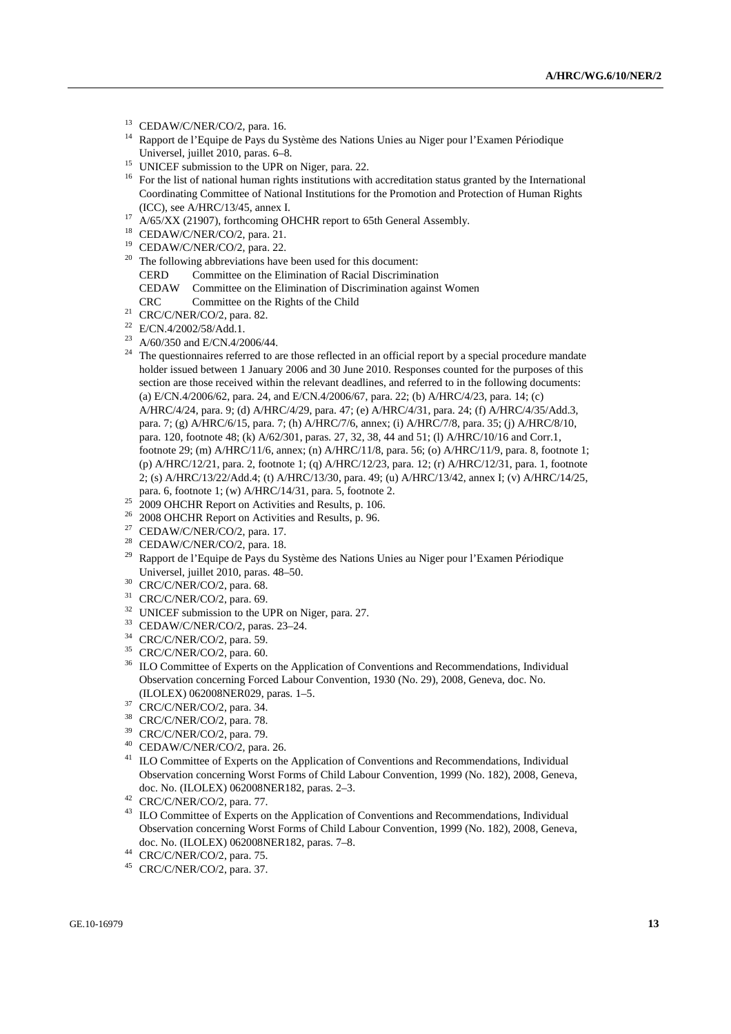- <sup>13</sup> CEDAW/C/NER/CO/2, para. 16.
- <sup>14</sup> Rapport de l'Equipe de Pays du Système des Nations Unies au Niger pour l'Examen Périodique<br>Universel, juillet 2010, paras. 6–8.
- $15$  UNICEF submission to the UPR on Niger, para. 22.
- <sup>16</sup> For the list of national human rights institutions with accreditation status granted by the International Coordinating Committee of National Institutions for the Promotion and Protection of Human Rights (ICC), see A/HRC/13/45, annex I.<br><sup>17</sup> A/65/XX (21907), forthcoming OHCHR report to 65th General Assembly.
- 
- 18 CEDAW/C/NER/CO/2, para. 21.
- 19 CEDAW/C/NER/CO/2, para. 22.
- $20$  The following abbreviations have been used for this document:
	- CERD Committee on the Elimination of Racial Discrimination
	- CEDAW Committee on the Elimination of Discrimination against Women
- CRC Committee on the Rights of the Child 21 CRC/C/NER/CO/2, para. 82.
- 
- 22 E/CN.4/2002/58/Add.1.
- 23 A/60/350 and E/CN.4/2006/44.
- <sup>24</sup> The questionnaires referred to are those reflected in an official report by a special procedure mandate holder issued between 1 January 2006 and 30 June 2010. Responses counted for the purposes of this section are those received within the relevant deadlines, and referred to in the following documents: (a) E/CN.4/2006/62, para. 24, and E/CN.4/2006/67, para. 22; (b) A/HRC/4/23, para. 14; (c) A/HRC/4/24, para. 9; (d) A/HRC/4/29, para. 47; (e) A/HRC/4/31, para. 24; (f) A/HRC/4/35/Add.3, para. 7; (g) A/HRC/6/15, para. 7; (h) A/HRC/7/6, annex; (i) A/HRC/7/8, para. 35; (j) A/HRC/8/10, para. 120, footnote 48; (k) A/62/301, paras. 27, 32, 38, 44 and 51; (l) A/HRC/10/16 and Corr.1, footnote 29; (m) A/HRC/11/6, annex; (n) A/HRC/11/8, para. 56; (o) A/HRC/11/9, para. 8, footnote 1; (p) A/HRC/12/21, para. 2, footnote 1; (q) A/HRC/12/23, para. 12; (r) A/HRC/12/31, para. 1, footnote 2; (s) A/HRC/13/22/Add.4; (t) A/HRC/13/30, para. 49; (u) A/HRC/13/42, annex I; (v) A/HRC/14/25,
- <sup>25</sup> 2009 OHCHR Report on Activities and Results, p. 106.<br><sup>26</sup> 2009 OHCHR Report on Activities and Results, p. 06.
- 26 2008 OHCHR Report on Activities and Results, p. 96.
- $27$  CEDAW/C/NER/CO/2, para. 17.
- <sup>28</sup> CEDAW/C/NER/CO/2, para. 18.
- <sup>29</sup> Rapport de l'Equipe de Pays du Système des Nations Unies au Niger pour l'Examen Périodique Universel, juillet 2010, paras. 48–50. 30 CRC/C/NER/CO/2, para. 68.
- 
- 31 CRC/C/NER/CO/2, para. 69.
- <sup>32</sup> UNICEF submission to the UPR on Niger, para. 27.
- 33 CEDAW/C/NER/CO/2, paras. 23–24.
- 34 CRC/C/NER/CO/2, para. 59.
- <sup>35</sup> CRC/C/NER/CO/2, para. 60.
- <sup>36</sup> ILO Committee of Experts on the Application of Conventions and Recommendations, Individual Observation concerning Forced Labour Convention, 1930 (No. 29), 2008, Geneva, doc. No. (ILOLEX) 062008NER029, paras. 1–5. 37 CRC/C/NER/CO/2, para. 34.
- 
- 38 CRC/C/NER/CO/2, para. 78.
- 39 CRC/C/NER/CO/2, para. 79.
- 40 CEDAW/C/NER/CO/2, para. 26.
- <sup>41</sup> ILO Committee of Experts on the Application of Conventions and Recommendations, Individual Observation concerning Worst Forms of Child Labour Convention, 1999 (No. 182), 2008, Geneva, doc. No. (ILOLEX) 062008NER182, paras. 2–3. 42 CRC/C/NER/CO/2, para. 77.
- 
- <sup>43</sup> ILO Committee of Experts on the Application of Conventions and Recommendations, Individual Observation concerning Worst Forms of Child Labour Convention, 1999 (No. 182), 2008, Geneva, doc. No. (ILOLEX) 062008NER182, paras. 7–8. 44 CRC/C/NER/CO/2, para. 75.
- 
- 45 CRC/C/NER/CO/2, para. 37.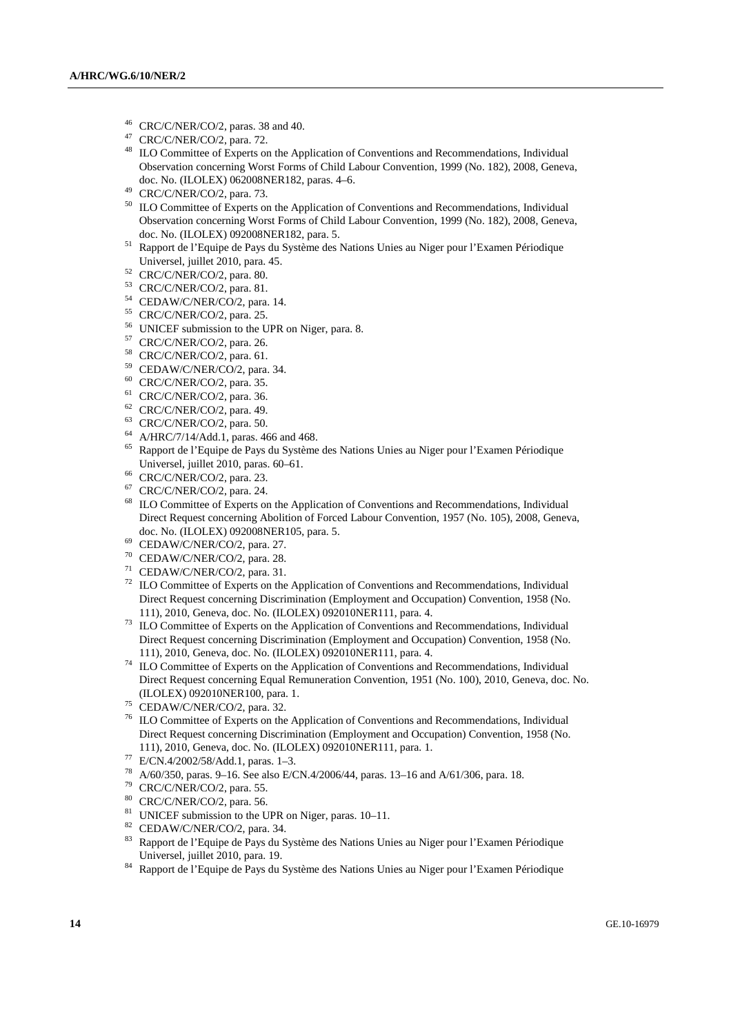- $^{46}$  CRC/C/NER/CO/2, paras. 38 and 40.
- $^{47}$  CRC/C/NER/CO/2, para. 72.
- ILO Committee of Experts on the Application of Conventions and Recommendations, Individual Observation concerning Worst Forms of Child Labour Convention, 1999 (No. 182), 2008, Geneva, doc. No. (ILOLEX) 062008NER182, paras. 4-6.<br>CRC/C/NER/CO/2, para. 73.
- <sup>50</sup> ILO Committee of Experts on the Application of Conventions and Recommendations, Individual Observation concerning Worst Forms of Child Labour Convention, 1999 (No. 182), 2008, Geneva,
- doc. No. (ILOLEX) 092008NER182, para. 5.<br><sup>51</sup> Rapport de l'Equipe de Pays du Système des Nations Unies au Niger pour l'Examen Périodique
- Universel, juillet 2010, para. 45. 52 CRC/C/NER/CO/2, para. 80.
- 53 CRC/C/NER/CO/2, para. 81.
- 54 CEDAW/C/NER/CO/2, para. 14.
- 55 CRC/C/NER/CO/2, para. 25.
- 56 UNICEF submission to the UPR on Niger, para. 8.
- 57 CRC/C/NER/CO/2, para. 26.
- 58 CRC/C/NER/CO/2, para. 61.
- 59 CEDAW/C/NER/CO/2, para. 34.
- 60 CRC/C/NER/CO/2, para. 35.
- 61 CRC/C/NER/CO/2, para. 36.
- $62$  CRC/C/NER/CO/2, para. 49.
- 63 CRC/C/NER/CO/2, para. 50.
- 64 A/HRC/7/14/Add.1, paras. 466 and 468.
- 65 Rapport de l'Equipe de Pays du Système des Nations Unies au Niger pour l'Examen Périodique Universel, juillet 2010, paras. 60–61. 66 CRC/C/NER/CO/2, para. 23.
- 
- $67$  CRC/C/NER/CO/2, para. 24.
- <sup>68</sup> ILO Committee of Experts on the Application of Conventions and Recommendations, Individual Direct Request concerning Abolition of Forced Labour Convention, 1957 (No. 105), 2008, Geneva, doc. No. (ILOLEX) 092008NER105, para. 5. 69 CEDAW/C/NER/CO/2, para. 27.
- 
- 70 CEDAW/C/NER/CO/2, para. 28.
- 71 CEDAW/C/NER/CO/2, para. 31.
- $72$  ILO Committee of Experts on the Application of Conventions and Recommendations, Individual Direct Request concerning Discrimination (Employment and Occupation) Convention, 1958 (No.
- 111), 2010, Geneva, doc. No. (ILOLEX) 092010NER111, para. 4. 73 ILO Committee of Experts on the Application of Conventions and Recommendations, Individual Direct Request concerning Discrimination (Employment and Occupation) Convention, 1958 (No. 111), 2010, Geneva, doc. No. (ILOLEX) 092010NER111, para. 4.
- $11$ <sup>14</sup> ILO Committee of Experts on the Application of Conventions and Recommendations, Individual Direct Request concerning Equal Remuneration Convention, 1951 (No. 100), 2010, Geneva, doc. No. (ILOLEX) 092010NER100, para. 1. 75 CEDAW/C/NER/CO/2, para. 32.
- 
- 76 ILO Committee of Experts on the Application of Conventions and Recommendations, Individual Direct Request concerning Discrimination (Employment and Occupation) Convention, 1958 (No. 111), 2010, Geneva, doc. No. (ILOLEX) 092010NER111, para. 1. $^{77}$ E/CN.4/2002/58/Add.1, paras. 1–3.
- 
- 78 A/60/350, paras. 9–16. See also E/CN.4/2006/44, paras. 13–16 and A/61/306, para. 18.
- 79 CRC/C/NER/CO/2, para. 55.
- 80 CRC/C/NER/CO/2, para. 56.
- <sup>81</sup> UNICEF submission to the UPR on Niger, paras.  $10-11$ .
- 82 CEDAW/C/NER/CO/2, para. 34.
- 83 Rapport de l'Equipe de Pays du Système des Nations Unies au Niger pour l'Examen Périodique
- 84 Rapport de l'Equipe de Pays du Système des Nations Unies au Niger pour l'Examen Périodique